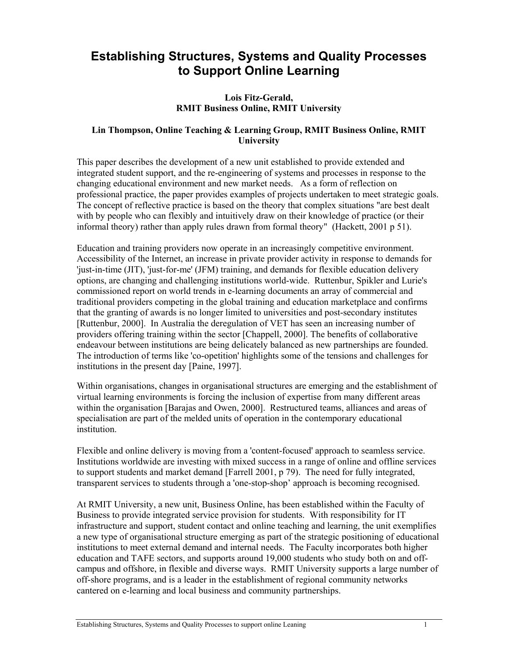# **Establishing Structures, Systems and Quality Processes to Support Online Learning**

# **Lois Fitz-Gerald, RMIT Business Online, RMIT University**

# **Lin Thompson, Online Teaching & Learning Group, RMIT Business Online, RMIT University**

This paper describes the development of a new unit established to provide extended and integrated student support, and the re-engineering of systems and processes in response to the changing educational environment and new market needs. As a form of reflection on professional practice, the paper provides examples of projects undertaken to meet strategic goals. The concept of reflective practice is based on the theory that complex situations "are best dealt with by people who can flexibly and intuitively draw on their knowledge of practice (or their informal theory) rather than apply rules drawn from formal theory" (Hackett, 2001 p 51).

Education and training providers now operate in an increasingly competitive environment. Accessibility of the Internet, an increase in private provider activity in response to demands for 'just-in-time (JIT), 'just-for-me' (JFM) training, and demands for flexible education delivery options, are changing and challenging institutions world-wide. Ruttenbur, Spikler and Lurie's commissioned report on world trends in e-learning documents an array of commercial and traditional providers competing in the global training and education marketplace and confirms that the granting of awards is no longer limited to universities and post-secondary institutes [Ruttenbur, 2000]. In Australia the deregulation of VET has seen an increasing number of providers offering training within the sector [Chappell, 2000]. The benefits of collaborative endeavour between institutions are being delicately balanced as new partnerships are founded. The introduction of terms like 'co-opetition' highlights some of the tensions and challenges for institutions in the present day [Paine, 1997].

Within organisations, changes in organisational structures are emerging and the establishment of virtual learning environments is forcing the inclusion of expertise from many different areas within the organisation [Barajas and Owen, 2000]. Restructured teams, alliances and areas of specialisation are part of the melded units of operation in the contemporary educational institution.

Flexible and online delivery is moving from a 'content-focused' approach to seamless service. Institutions worldwide are investing with mixed success in a range of online and offline services to support students and market demand [Farrell 2001, p 79). The need for fully integrated, transparent services to students through a 'one-stop-shop' approach is becoming recognised.

At RMIT University, a new unit, Business Online, has been established within the Faculty of Business to provide integrated service provision for students. With responsibility for IT infrastructure and support, student contact and online teaching and learning, the unit exemplifies a new type of organisational structure emerging as part of the strategic positioning of educational institutions to meet external demand and internal needs. The Faculty incorporates both higher education and TAFE sectors, and supports around 19,000 students who study both on and offcampus and offshore, in flexible and diverse ways. RMIT University supports a large number of off-shore programs, and is a leader in the establishment of regional community networks cantered on e-learning and local business and community partnerships.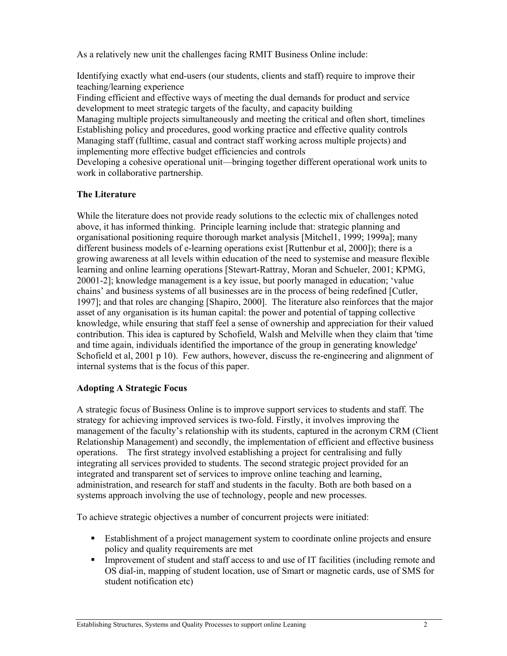As a relatively new unit the challenges facing RMIT Business Online include:

Identifying exactly what end-users (our students, clients and staff) require to improve their teaching/learning experience

Finding efficient and effective ways of meeting the dual demands for product and service development to meet strategic targets of the faculty, and capacity building

Managing multiple projects simultaneously and meeting the critical and often short, timelines Establishing policy and procedures, good working practice and effective quality controls Managing staff (fulltime, casual and contract staff working across multiple projects) and implementing more effective budget efficiencies and controls

Developing a cohesive operational unit—bringing together different operational work units to work in collaborative partnership.

# **The Literature**

While the literature does not provide ready solutions to the eclectic mix of challenges noted above, it has informed thinking. Principle learning include that: strategic planning and organisational positioning require thorough market analysis [Mitchel1, 1999; 1999a]; many different business models of e-learning operations exist [Ruttenbur et al, 2000]); there is a growing awareness at all levels within education of the need to systemise and measure flexible learning and online learning operations [Stewart-Rattray, Moran and Schueler, 2001; KPMG, 20001-2]; knowledge management is a key issue, but poorly managed in education; 'value chains' and business systems of all businesses are in the process of being redefined [Cutler, 1997]; and that roles are changing [Shapiro, 2000]. The literature also reinforces that the major asset of any organisation is its human capital: the power and potential of tapping collective knowledge, while ensuring that staff feel a sense of ownership and appreciation for their valued contribution. This idea is captured by Schofield, Walsh and Melville when they claim that 'time and time again, individuals identified the importance of the group in generating knowledge' Schofield et al, 2001 p 10). Few authors, however, discuss the re-engineering and alignment of internal systems that is the focus of this paper.

#### **Adopting A Strategic Focus**

A strategic focus of Business Online is to improve support services to students and staff. The strategy for achieving improved services is two-fold. Firstly, it involves improving the management of the faculty's relationship with its students, captured in the acronym CRM (Client Relationship Management) and secondly, the implementation of efficient and effective business operations. The first strategy involved establishing a project for centralising and fully integrating all services provided to students. The second strategic project provided for an integrated and transparent set of services to improve online teaching and learning, administration, and research for staff and students in the faculty. Both are both based on a systems approach involving the use of technology, people and new processes.

To achieve strategic objectives a number of concurrent projects were initiated:

- Establishment of a project management system to coordinate online projects and ensure policy and quality requirements are met
- Improvement of student and staff access to and use of IT facilities (including remote and OS dial-in, mapping of student location, use of Smart or magnetic cards, use of SMS for student notification etc)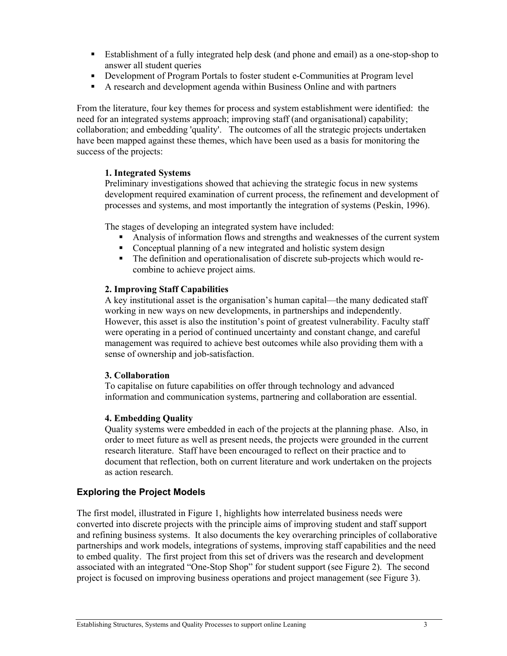- Establishment of a fully integrated help desk (and phone and email) as a one-stop-shop to answer all student queries
- Development of Program Portals to foster student e-Communities at Program level
- A research and development agenda within Business Online and with partners

From the literature, four key themes for process and system establishment were identified: the need for an integrated systems approach; improving staff (and organisational) capability; collaboration; and embedding 'quality'. The outcomes of all the strategic projects undertaken have been mapped against these themes, which have been used as a basis for monitoring the success of the projects:

# **1. Integrated Systems**

Preliminary investigations showed that achieving the strategic focus in new systems development required examination of current process, the refinement and development of processes and systems, and most importantly the integration of systems (Peskin, 1996).

The stages of developing an integrated system have included:

- Analysis of information flows and strengths and weaknesses of the current system
- Conceptual planning of a new integrated and holistic system design
- The definition and operationalisation of discrete sub-projects which would recombine to achieve project aims.

#### **2. Improving Staff Capabilities**

A key institutional asset is the organisation's human capital—the many dedicated staff working in new ways on new developments, in partnerships and independently. However, this asset is also the institution's point of greatest vulnerability. Faculty staff were operating in a period of continued uncertainty and constant change, and careful management was required to achieve best outcomes while also providing them with a sense of ownership and job-satisfaction.

#### **3. Collaboration**

To capitalise on future capabilities on offer through technology and advanced information and communication systems, partnering and collaboration are essential.

#### **4. Embedding Quality**

Quality systems were embedded in each of the projects at the planning phase. Also, in order to meet future as well as present needs, the projects were grounded in the current research literature. Staff have been encouraged to reflect on their practice and to document that reflection, both on current literature and work undertaken on the projects as action research.

# **Exploring the Project Models**

The first model, illustrated in Figure 1, highlights how interrelated business needs were converted into discrete projects with the principle aims of improving student and staff support and refining business systems. It also documents the key overarching principles of collaborative partnerships and work models, integrations of systems, improving staff capabilities and the need to embed quality. The first project from this set of drivers was the research and development associated with an integrated "One-Stop Shop" for student support (see Figure 2). The second project is focused on improving business operations and project management (see Figure 3).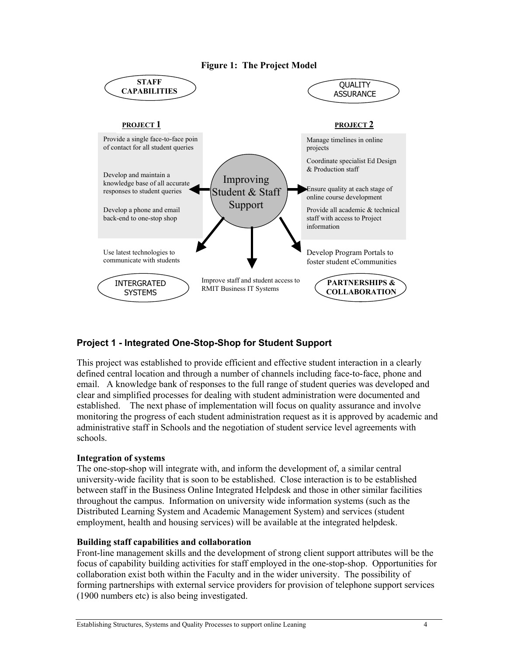



# **Project 1 - Integrated One-Stop-Shop for Student Support**

This project was established to provide efficient and effective student interaction in a clearly defined central location and through a number of channels including face-to-face, phone and email. A knowledge bank of responses to the full range of student queries was developed and clear and simplified processes for dealing with student administration were documented and established. The next phase of implementation will focus on quality assurance and involve monitoring the progress of each student administration request as it is approved by academic and administrative staff in Schools and the negotiation of student service level agreements with schools.

#### **Integration of systems**

The one-stop-shop will integrate with, and inform the development of, a similar central university-wide facility that is soon to be established. Close interaction is to be established between staff in the Business Online Integrated Helpdesk and those in other similar facilities throughout the campus. Information on university wide information systems (such as the Distributed Learning System and Academic Management System) and services (student employment, health and housing services) will be available at the integrated helpdesk.

#### **Building staff capabilities and collaboration**

Front-line management skills and the development of strong client support attributes will be the focus of capability building activities for staff employed in the one-stop-shop. Opportunities for collaboration exist both within the Faculty and in the wider university. The possibility of forming partnerships with external service providers for provision of telephone support services (1900 numbers etc) is also being investigated.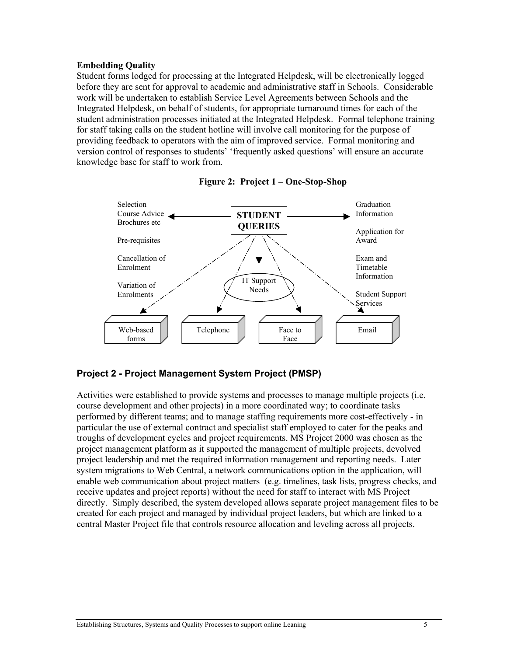#### **Embedding Quality**

Student forms lodged for processing at the Integrated Helpdesk, will be electronically logged before they are sent for approval to academic and administrative staff in Schools. Considerable work will be undertaken to establish Service Level Agreements between Schools and the Integrated Helpdesk, on behalf of students, for appropriate turnaround times for each of the student administration processes initiated at the Integrated Helpdesk. Formal telephone training for staff taking calls on the student hotline will involve call monitoring for the purpose of providing feedback to operators with the aim of improved service. Formal monitoring and version control of responses to students' 'frequently asked questions' will ensure an accurate knowledge base for staff to work from.





# **Project 2 - Project Management System Project (PMSP)**

Activities were established to provide systems and processes to manage multiple projects (i.e. course development and other projects) in a more coordinated way; to coordinate tasks performed by different teams; and to manage staffing requirements more cost-effectively - in particular the use of external contract and specialist staff employed to cater for the peaks and troughs of development cycles and project requirements. MS Project 2000 was chosen as the project management platform as it supported the management of multiple projects, devolved project leadership and met the required information management and reporting needs. Later system migrations to Web Central, a network communications option in the application, will enable web communication about project matters (e.g. timelines, task lists, progress checks, and receive updates and project reports) without the need for staff to interact with MS Project directly. Simply described, the system developed allows separate project management files to be created for each project and managed by individual project leaders, but which are linked to a central Master Project file that controls resource allocation and leveling across all projects.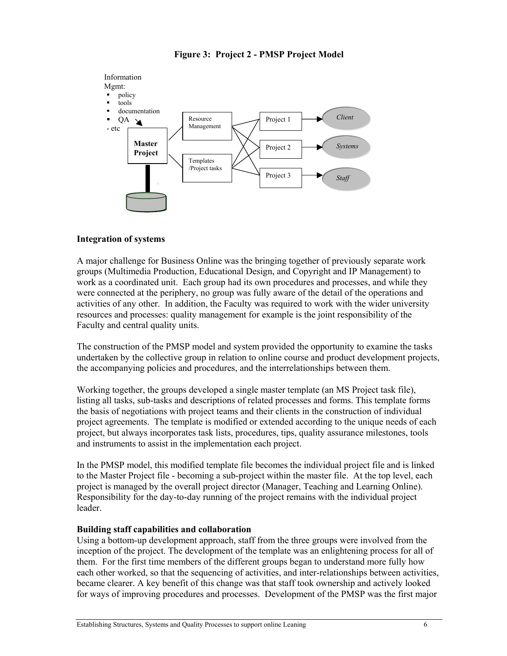

# **Figure 3: Project 2 - PMSP Project Model**

# **Integration of systems**

A major challenge for Business Online was the bringing together of previously separate work groups (Multimedia Production, Educational Design, and Copyright and IP Management) to work as a coordinated unit. Each group had its own procedures and processes, and while they were connected at the periphery, no group was fully aware of the detail of the operations and activities of any other. In addition, the Faculty was required to work with the wider university resources and processes: quality management for example is the joint responsibility of the Faculty and central quality units.

The construction of the PMSP model and system provided the opportunity to examine the tasks undertaken by the collective group in relation to online course and product development projects, the accompanying policies and procedures, and the interrelationships between them.

Working together, the groups developed a single master template (an MS Project task file), listing all tasks, sub-tasks and descriptions of related processes and forms. This template forms the basis of negotiations with project teams and their clients in the construction of individual project agreements. The template is modified or extended according to the unique needs of each project, but always incorporates task lists, procedures, tips, quality assurance milestones, tools and instruments to assist in the implementation each project.

In the PMSP model, this modified template file becomes the individual project file and is linked to the Master Project file - becoming a sub-project within the master file. At the top level, each project is managed by the overall project director (Manager, Teaching and Learning Online). Responsibility for the day-to-day running of the project remains with the individual project leader.

# **Building staff capabilities and collaboration**

Using a bottom-up development approach, staff from the three groups were involved from the inception of the project. The development of the template was an enlightening process for all of them. For the first time members of the different groups began to understand more fully how each other worked, so that the sequencing of activities, and inter-relationships between activities, became clearer. A key benefit of this change was that staff took ownership and actively looked for ways of improving procedures and processes. Development of the PMSP was the first major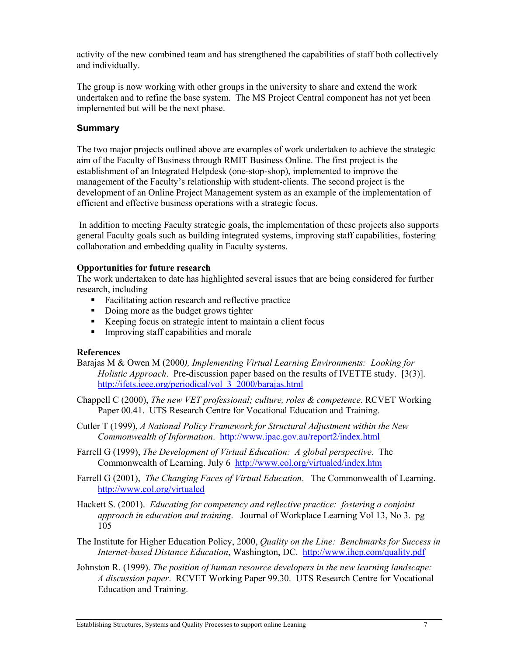activity of the new combined team and has strengthened the capabilities of staff both collectively and individually.

The group is now working with other groups in the university to share and extend the work undertaken and to refine the base system. The MS Project Central component has not yet been implemented but will be the next phase.

# **Summary**

The two major projects outlined above are examples of work undertaken to achieve the strategic aim of the Faculty of Business through RMIT Business Online. The first project is the establishment of an Integrated Helpdesk (one-stop-shop), implemented to improve the management of the Faculty's relationship with student-clients. The second project is the development of an Online Project Management system as an example of the implementation of efficient and effective business operations with a strategic focus.

 In addition to meeting Faculty strategic goals, the implementation of these projects also supports general Faculty goals such as building integrated systems, improving staff capabilities, fostering collaboration and embedding quality in Faculty systems.

#### **Opportunities for future research**

The work undertaken to date has highlighted several issues that are being considered for further research, including

- **Facilitating action research and reflective practice**
- Doing more as the budget grows tighter
- Keeping focus on strategic intent to maintain a client focus
- **Improving staff capabilities and morale**

#### **References**

Barajas M & Owen M (2000*), Implementing Virtual Learning Environments: Looking for Holistic Approach.* Pre-discussion paper based on the results of IVETTE study. [3(3)]. http://ifets.ieee.org/periodical/vol\_3\_2000/barajas.html

Chappell C (2000), *The new VET professional; culture, roles & competence*. RCVET Working Paper 00.41. UTS Research Centre for Vocational Education and Training.

Cutler T (1999), *A National Policy Framework for Structural Adjustment within the New Commonwealth of Information*. http://www.ipac.gov.au/report2/index.html

Farrell G (1999), *The Development of Virtual Education: A global perspective.* The Commonwealth of Learning. July 6 http://www.col.org/virtualed/index.htm

Farrell G (2001), *The Changing Faces of Virtual Education*. The Commonwealth of Learning. http://www.col.org/virtualed

Hackett S. (2001). *Educating for competency and reflective practice: fostering a conjoint approach in education and training*. Journal of Workplace Learning Vol 13, No 3. pg 105

The Institute for Higher Education Policy, 2000, *Quality on the Line: Benchmarks for Success in Internet-based Distance Education*, Washington, DC. http://www.ihep.com/quality.pdf

Johnston R. (1999). *The position of human resource developers in the new learning landscape: A discussion paper*. RCVET Working Paper 99.30. UTS Research Centre for Vocational Education and Training.